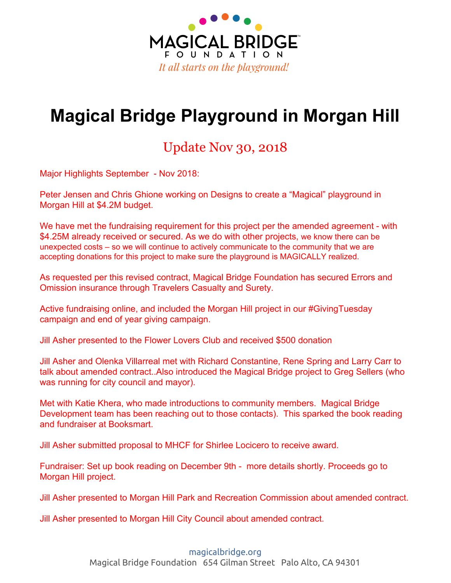

# **Magical Bridge Playground in Morgan Hill**

### Update Nov 30, 2018

Major Highlights September - Nov 2018:

Peter Jensen and Chris Ghione working on Designs to create a "Magical" playground in Morgan Hill at \$4.2M budget.

We have met the fundraising requirement for this project per the amended agreement - with \$4.25M already received or secured. As we do with other projects, we know there can be unexpected costs – so we will continue to actively communicate to the community that we are accepting donations for this project to make sure the playground is MAGICALLY realized.

As requested per this revised contract, Magical Bridge Foundation has secured Errors and Omission insurance through Travelers Casualty and Surety.

Active fundraising online, and included the Morgan Hill project in our #GivingTuesday campaign and end of year giving campaign.

Jill Asher presented to the Flower Lovers Club and received \$500 donation

Jill Asher and Olenka Villarreal met with Richard Constantine, Rene Spring and Larry Carr to talk about amended contract..Also introduced the Magical Bridge project to Greg Sellers (who was running for city council and mayor).

Met with Katie Khera, who made introductions to community members. Magical Bridge Development team has been reaching out to those contacts). This sparked the book reading and fundraiser at Booksmart.

Jill Asher submitted proposal to MHCF for Shirlee Locicero to receive award.

Fundraiser: Set up book reading on December 9th - more details shortly. Proceeds go to Morgan Hill project.

Jill Asher presented to Morgan Hill Park and Recreation Commission about amended contract.

Jill Asher presented to Morgan Hill City Council about amended contract.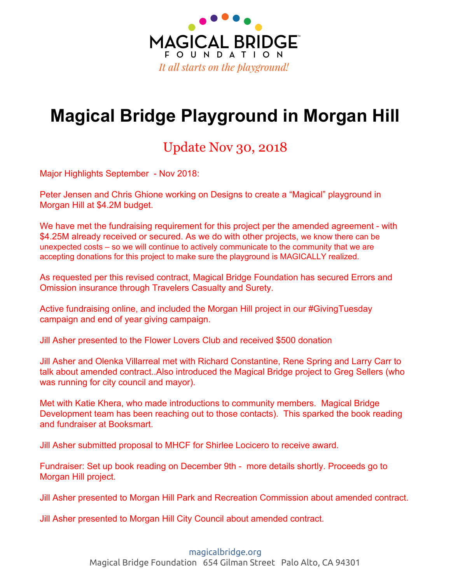

Magical Bridge Foundation has moved from LiveImpact to SalesForce and Classy to communicate with donors and community members. The Morgan Hill contact list has grown to over 1000 contacts. The foundation has been active with sending out newsletters, emails and donor engagement. Thus, we are beginning to see an increase in community giving for the Morgan Hill project.

#### **Major Highlights prior to August 2018:**

Magical Bridge participated in the San Andreas Regional Center Breakfast on May 11th. 400+ attendees attended. Each attendee received a remit envelope and brochure at their seat, and Joe Simitian made an announcement encouraging attendees to donate to Magical Bridge Morgan Hill. Two Magical Bridge videos were shown.

Magical Bridge was a beneficiary of The South Valley Wine Tasting & Auction Charity Event on May 11th. We auctioned off 12 donated items, earning a total of \$1500.

Play Date at Magical Bridge Palo Alto with the Blue Knights, Monterey Chapter 22. Members biked from Morgan Hill to enjoy the playground. Donated \$250 and helped create awareness. <https://www.facebook.com/MagicalBridge/videos/10156346879754082/>

Major highlight in January was the decision by the Santa Clara County Supervisors to approve the full \$2M in matching AIPG funds for the Magical Bridge Playground in Morgan Hill. To win this support, the Magical Bridge team worked very closely with the City and Community Members to communicate and demonstrate the importance of the Morgan Hill project to Morgan Hill and the surrounding communities. The Magical Bridge team is building on this public support to increase awareness and engagement across the community while considering additional approaches to close the remaining funding gap.

## **Fundraising Update**

| <b>City Contribution</b>             | \$2,000,000 |
|--------------------------------------|-------------|
| County AIPG funds                    | \$2,000,000 |
| <b>Community Fundraising To Date</b> | \$155,932   |
| <b>Pledged Donations</b>             | \$40,000    |
| <b>Total Committed</b>               | \$4,195,932 |

**Pledged Donations:** Cathy Rudolph - \$10,000 Cecilia Ponzini - \$30,000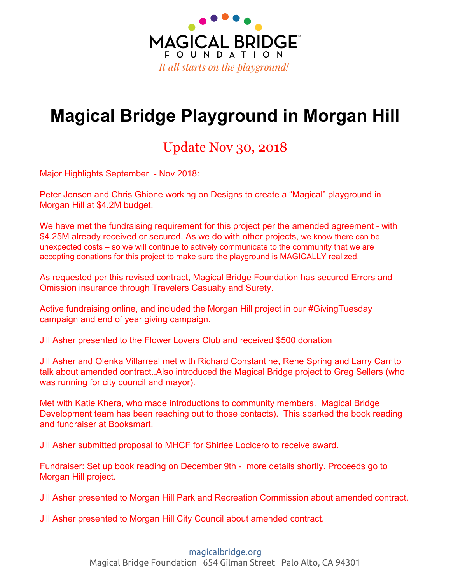

#### **Morgan Hill Schools Coin Drive Participation**

The schools communities had a very strong, positive response to the coin drives. 10 of 10 participating schools have completed their coin drives raising with families from across the spectrum contributing to raise more than \$1000 from per school. We met our goal and raised \$25K.

#### **Notable Corporate and Foundation Giving:**

- Tapia Construction & Restoration: \$5K Received
- Remax (David and Magdalena Clink): \$2K Received
- Valley Foundation: \$10K Received
- Acton Family Giving: \$50K Received
- Walmart Foundation: \$10K Received
- CSR Cares: \$5K Received

#### **For Giving by donor and date please see attached spreadsheet**

Magical Bridge continues to build relationships and pursue large "anchor" donors and zone sponsorship. Companies and organization that have expressed interest and are considering a grant include Kaiser, 49ers Foundation, Specialized, Cisco.

## **Community Engagement**

The team continues to meet regularly with local community groups and individuals to expand the network of support. In addition to the coin drives noted and support for the SCC AIPG grants, community members have engaged in a variety of ways.

#### **Completed Activities:**

#### **2018**

- **● January -** Magical Bridge Foundation ignites the Magical Bridge Morgan Hill Facebook Page. This site is leveraged to reach the local community and share progress in fundraising, community engagement and messaging about the project. As of November 2018, there are almost 1k "likes" on this site: <https://www.facebook.com/morganhillplayground/>
- **January -** created the Magical Bridge Foundation Instagram page.
- **● January --** Worked with special need to classes in Morgan Hill to set up and create 2000 mailers to Morgan Hill residents with remit envelopes and marketing materials - requesting donations for beginning of the year giving.
- **February --** Jill Asher live streams video from Walsh K-class https://www.facebook.com/morganhillplayground/videos/1441227602670454/
- **March and April:** Coin collection fundraiser at ALL public elementary and middle schools. Raised approximately \$20K.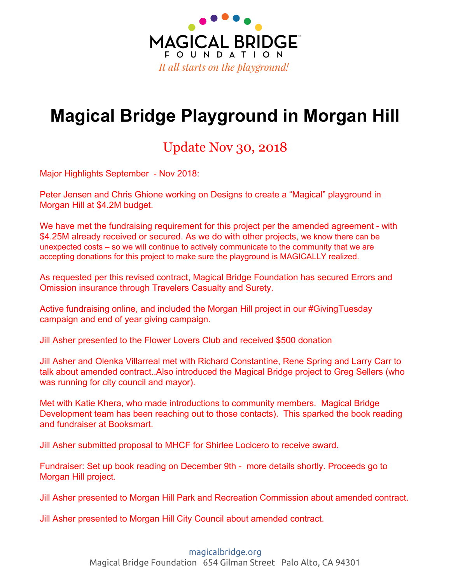

- **March:** Professional Morgan Hill Fundraising Video completed and published. Over 1550 views to date: <https://youtu.be/JxiBgEVqQRo>
- **March:** Blue Knights deliver donation and have a playdate at Magical Bridge in Palo Alto https://www.facebook.com/search/top/?q=Magical%20Bridge%20blue%20knights&epa=SEARC H\_BOX
- **April** Presentation from Girl Scout Troop, \$800 raised from cookie sales
- **April** Hosted Pizza Parties for all the grades that won the coin drive challenge. Magical Bridge Foundation and the Gervacio Family funded the parties. Here is a video from Anna Gervacio sharing news from one of the parties:

<https://www.facebook.com/morganhillplayground/videos/1470850303041517/>

- **May -** South Valley Wine Tasting and Auction Charity Event (\$1500 raised)
- **May** San Andreas Regional Center Breakfast
	- 400 remit envelopes distributed and two videos shown to attendees about Magical Bridge coming to Morgan Hill
- **May -** Morgan Hill Times Magical Bridge Op-Ed piece was published [http://morganhilllife.com/2018/03/09/community-voices-by-jill-asher-morgan-hill-is-ready-to-welc](http://morganhilllife.com/2018/03/09/community-voices-by-jill-asher-morgan-hill-is-ready-to-welcome-magical-bridge-playground-still-needs-final-1-million/) [ome-magical-bridge-playground-still-needs-final-1-million/](http://morganhilllife.com/2018/03/09/community-voices-by-jill-asher-morgan-hill-is-ready-to-welcome-magical-bridge-playground-still-needs-final-1-million/)
- **September:** Redesigned Magical Bridge Playground Morgan Hill website and moved donation system from LiveImpact to Classy. http://www.magicalbridge.org/morgan-hill
- **October** Coffee with community members at Coffee Guys: Greg Sellers, Rene Spring, Larry Carr, Nichole Martin, Katie Khera, Richard Constantine
- **October:** Attended Coldwell Banker event honoring the work of Magical Bridge and other community groups.
- **November:** Purchased and attended 9 seats for community members to attend MHCF Gala to honor and recognize Shirlee Locicero. In attendance were Anna Gervacio, Debbie Hernandez, Andrea Goldsmith, Tanaya Rose, Katie Khera, Kristina Sermersheim, Jennifer Silva, Jill Asher and Olenka Villarreal.
- **December:** Scheduled a book reading of "Dump Truck Disco" for Dec. 2nd in Morgan Hill at BookSmart This is fundraiser and we'll be there from 12-3PM. Love on a Leash nonprofit will be there as well.

#### **2017**

- **October 31st -** Met w/Specialized Bikes. Discussed corporate sponsorship and individual employee donations. Specialized donated a \$500 bike for Magical Bridge to raffle off.
- **November 11th -** Community event hosted by Milagro Vineyard. 100 + attendees. Raised \$1,065.54
- **December 1st -** Mailed 600 mailers to Morgan Hill residents with remit envelopes and marketing materials
- **December 6th -** Sip & Paint event co-hosted by Pinot's Palette and Art Ventures Gallery. Raised \$600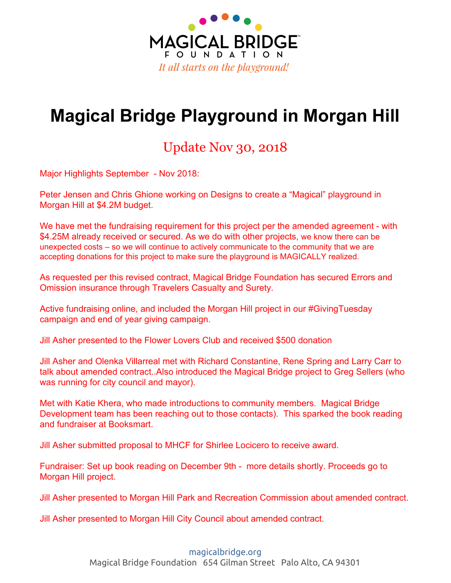

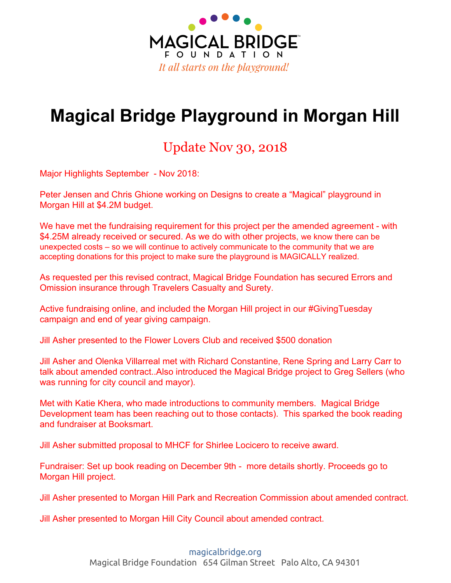



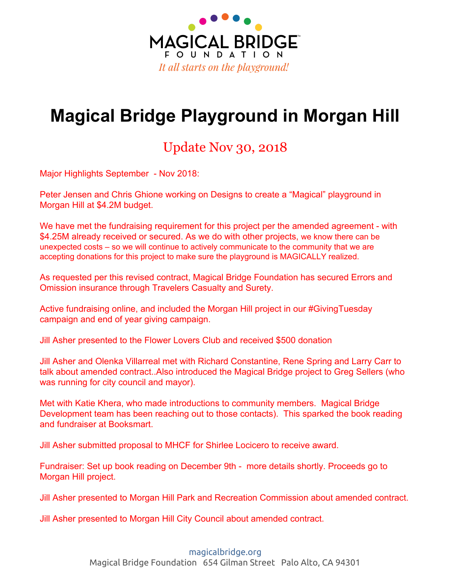